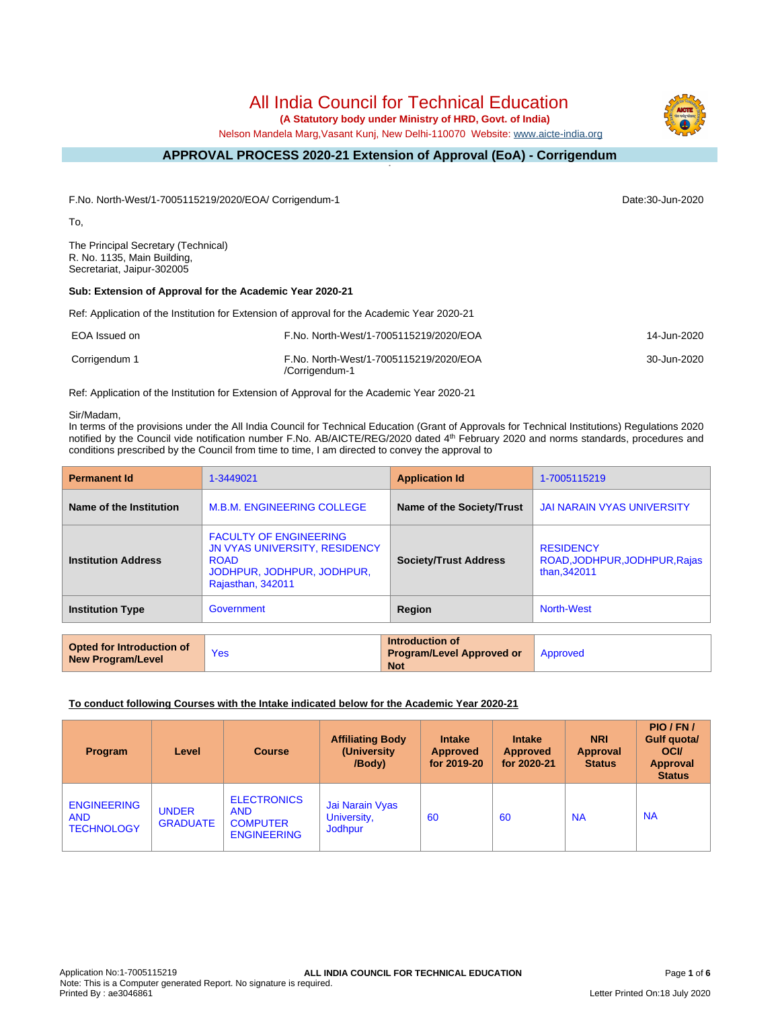# All India Council for Technical Education

 **(A Statutory body under Ministry of HRD, Govt. of India)**

Nelson Mandela Marg,Vasant Kunj, New Delhi-110070 Website: [www.aicte-india.org](http://www.aicte-india.org)

#### **APPROVAL PROCESS 2020-21 Extension of Approval (EoA) - Corrigendum -**

F.No. North-West/1-7005115219/2020/EOA/ Corrigendum-1 Date:30-Jun-2020

To,

The Principal Secretary (Technical) R. No. 1135, Main Building, Secretariat, Jaipur-302005

### **Sub: Extension of Approval for the Academic Year 2020-21**

Ref: Application of the Institution for Extension of approval for the Academic Year 2020-21

| EOA Issued on | F.No. North-West/1-7005115219/2020/EOA                   | 14-Jun-2020 |
|---------------|----------------------------------------------------------|-------------|
| Corrigendum 1 | F.No. North-West/1-7005115219/2020/EOA<br>/Corrigendum-1 | 30-Jun-2020 |

Ref: Application of the Institution for Extension of Approval for the Academic Year 2020-21

#### Sir/Madam,

In terms of the provisions under the All India Council for Technical Education (Grant of Approvals for Technical Institutions) Regulations 2020 notified by the Council vide notification number F.No. AB/AICTE/REG/2020 dated 4<sup>th</sup> February 2020 and norms standards, procedures and conditions prescribed by the Council from time to time, I am directed to convey the approval to

| <b>Permanent Id</b>        | 1-3449021                                                                                                                               | <b>Application Id</b>        | 1-7005115219                                                      |
|----------------------------|-----------------------------------------------------------------------------------------------------------------------------------------|------------------------------|-------------------------------------------------------------------|
| Name of the Institution    | <b>M.B.M. ENGINEERING COLLEGE</b>                                                                                                       | Name of the Society/Trust    | <b>JAI NARAIN VYAS UNIVERSITY</b>                                 |
| <b>Institution Address</b> | <b>FACULTY OF ENGINEERING</b><br><b>JN VYAS UNIVERSITY, RESIDENCY</b><br><b>ROAD</b><br>JODHPUR, JODHPUR, JODHPUR,<br>Rajasthan, 342011 | <b>Society/Trust Address</b> | <b>RESIDENCY</b><br>ROAD, JODHPUR, JODHPUR, Rajas<br>than, 342011 |
| <b>Institution Type</b>    | Government                                                                                                                              | Region                       | <b>North-West</b>                                                 |

| <b>Opted for Introduction of</b><br>New Program/Level | Yes | Introduction of<br><b>Program/Level Approved or</b><br><b>Not</b> | Approved |
|-------------------------------------------------------|-----|-------------------------------------------------------------------|----------|
|                                                       |     |                                                                   |          |

### **To conduct following Courses with the Intake indicated below for the Academic Year 2020-21**

| <b>Program</b>                                        | Level                           | <b>Course</b>                                                             | <b>Affiliating Body</b><br>(University)<br>/Body) | <b>Intake</b><br>Approved<br>for 2019-20 | <b>Intake</b><br><b>Approved</b><br>for 2020-21 | <b>NRI</b><br>Approval<br><b>Status</b> | PIO/FN/<br>Gulf quota/<br><b>OCI</b><br>Approval<br><b>Status</b> |
|-------------------------------------------------------|---------------------------------|---------------------------------------------------------------------------|---------------------------------------------------|------------------------------------------|-------------------------------------------------|-----------------------------------------|-------------------------------------------------------------------|
| <b>ENGINEERING</b><br><b>AND</b><br><b>TECHNOLOGY</b> | <b>UNDER</b><br><b>GRADUATE</b> | <b>ELECTRONICS</b><br><b>AND</b><br><b>COMPUTER</b><br><b>ENGINEERING</b> | Jai Narain Vyas<br>University,<br>Jodhpur         | 60                                       | 60                                              | <b>NA</b>                               | <b>NA</b>                                                         |

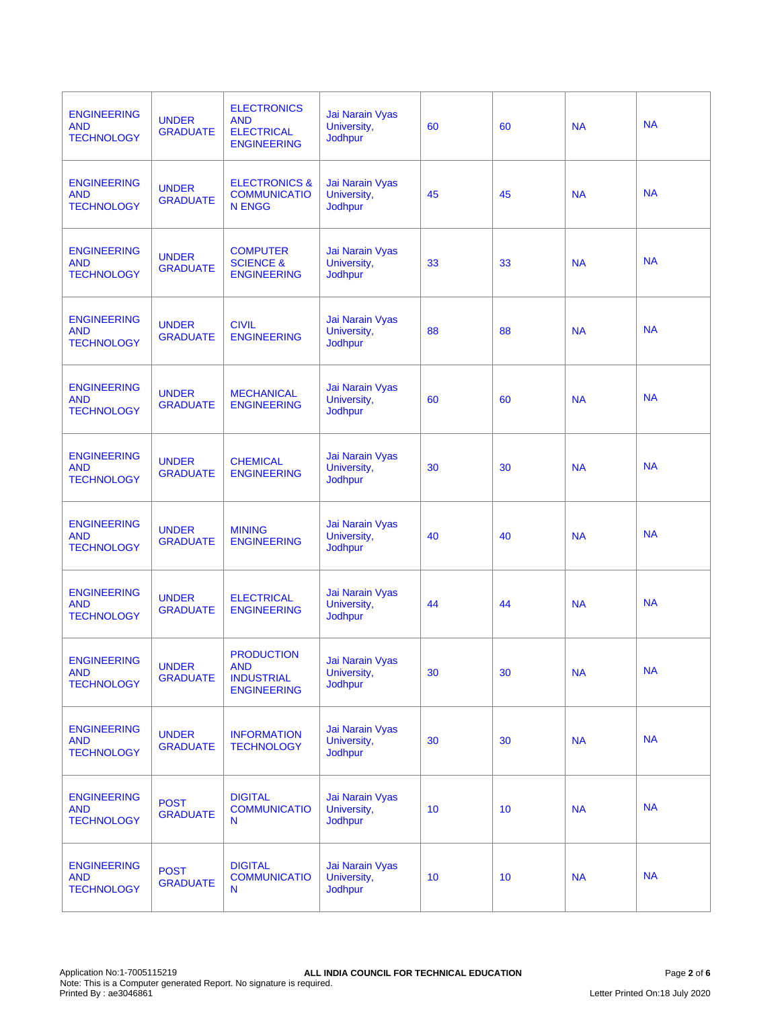| <b>ENGINEERING</b><br><b>AND</b><br><b>TECHNOLOGY</b> | <b>UNDER</b><br><b>GRADUATE</b> | <b>ELECTRONICS</b><br><b>AND</b><br><b>ELECTRICAL</b><br><b>ENGINEERING</b> | Jai Narain Vyas<br>University,<br><b>Jodhpur</b>        | 60 | 60 | <b>NA</b> | <b>NA</b> |
|-------------------------------------------------------|---------------------------------|-----------------------------------------------------------------------------|---------------------------------------------------------|----|----|-----------|-----------|
| <b>ENGINEERING</b><br><b>AND</b><br><b>TECHNOLOGY</b> | <b>UNDER</b><br><b>GRADUATE</b> | <b>ELECTRONICS &amp;</b><br><b>COMMUNICATIO</b><br><b>N ENGG</b>            | Jai Narain Vyas<br>University,<br><b>Jodhpur</b>        | 45 | 45 | <b>NA</b> | <b>NA</b> |
| <b>ENGINEERING</b><br><b>AND</b><br><b>TECHNOLOGY</b> | <b>UNDER</b><br><b>GRADUATE</b> | <b>COMPUTER</b><br><b>SCIENCE &amp;</b><br><b>ENGINEERING</b>               | Jai Narain Vyas<br>University,<br>Jodhpur               | 33 | 33 | <b>NA</b> | <b>NA</b> |
| <b>ENGINEERING</b><br><b>AND</b><br><b>TECHNOLOGY</b> | <b>UNDER</b><br><b>GRADUATE</b> | <b>CIVIL</b><br><b>ENGINEERING</b>                                          | Jai Narain Vyas<br>University,<br>Jodhpur               | 88 | 88 | <b>NA</b> | <b>NA</b> |
| <b>ENGINEERING</b><br><b>AND</b><br><b>TECHNOLOGY</b> | <b>UNDER</b><br><b>GRADUATE</b> | <b>MECHANICAL</b><br><b>ENGINEERING</b>                                     | Jai Narain Vyas<br>University,<br><b>Jodhpur</b>        | 60 | 60 | <b>NA</b> | <b>NA</b> |
| <b>ENGINEERING</b><br><b>AND</b><br><b>TECHNOLOGY</b> | <b>UNDER</b><br><b>GRADUATE</b> | <b>CHEMICAL</b><br><b>ENGINEERING</b>                                       | <b>Jai Narain Vyas</b><br>University,<br><b>Jodhpur</b> | 30 | 30 | <b>NA</b> | <b>NA</b> |
| <b>ENGINEERING</b><br><b>AND</b><br><b>TECHNOLOGY</b> | <b>UNDER</b><br><b>GRADUATE</b> | <b>MINING</b><br><b>ENGINEERING</b>                                         | Jai Narain Vyas<br>University,<br>Jodhpur               | 40 | 40 | <b>NA</b> | <b>NA</b> |
| <b>ENGINEERING</b><br><b>AND</b><br><b>TECHNOLOGY</b> | <b>UNDER</b><br><b>GRADUATE</b> | <b>ELECTRICAL</b><br><b>ENGINEERING</b>                                     | Jai Narain Vyas<br>University,<br><b>Jodhpur</b>        | 44 | 44 | <b>NA</b> | <b>NA</b> |
| <b>ENGINEERING</b><br><b>AND</b><br><b>TECHNOLOGY</b> | <b>UNDER</b><br><b>GRADUATE</b> | <b>PRODUCTION</b><br><b>AND</b><br><b>INDUSTRIAL</b><br><b>ENGINEERING</b>  | Jai Narain Vvas<br>University,<br><b>Jodhpur</b>        | 30 | 30 | <b>NA</b> | <b>NA</b> |
| <b>ENGINEERING</b><br><b>AND</b><br><b>TECHNOLOGY</b> | <b>UNDER</b><br><b>GRADUATE</b> | <b>INFORMATION</b><br><b>TECHNOLOGY</b>                                     | <b>Jai Narain Vyas</b><br>University,<br>Jodhpur        | 30 | 30 | <b>NA</b> | <b>NA</b> |
| <b>ENGINEERING</b><br><b>AND</b><br><b>TECHNOLOGY</b> | <b>POST</b><br><b>GRADUATE</b>  | <b>DIGITAL</b><br><b>COMMUNICATIO</b><br>N                                  | Jai Narain Vyas<br>University,<br><b>Jodhpur</b>        | 10 | 10 | <b>NA</b> | <b>NA</b> |
| <b>ENGINEERING</b><br><b>AND</b><br><b>TECHNOLOGY</b> | <b>POST</b><br><b>GRADUATE</b>  | <b>DIGITAL</b><br><b>COMMUNICATIO</b><br>N                                  | <b>Jai Narain Vyas</b><br>University,<br><b>Jodhpur</b> | 10 | 10 | <b>NA</b> | <b>NA</b> |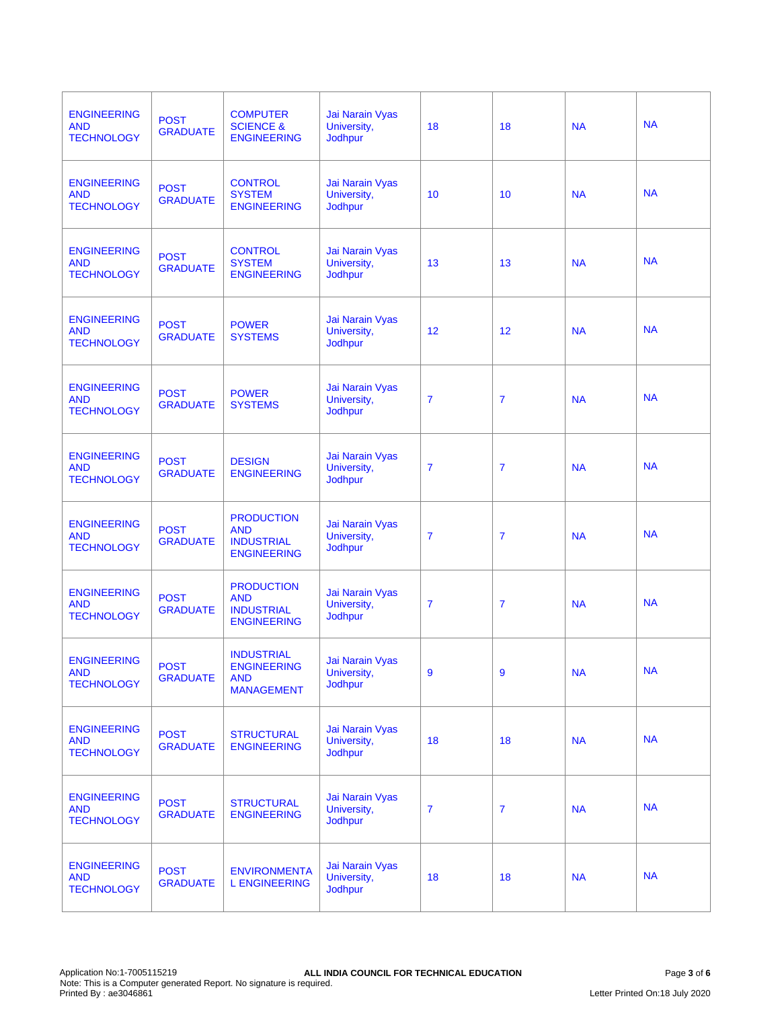| <b>ENGINEERING</b><br><b>AND</b><br><b>TECHNOLOGY</b> | <b>POST</b><br><b>GRADUATE</b> | <b>COMPUTER</b><br><b>SCIENCE &amp;</b><br><b>ENGINEERING</b>              | Jai Narain Vyas<br>University,<br><b>Jodhpur</b>        | 18             | 18             | <b>NA</b> | <b>NA</b> |
|-------------------------------------------------------|--------------------------------|----------------------------------------------------------------------------|---------------------------------------------------------|----------------|----------------|-----------|-----------|
| <b>ENGINEERING</b><br><b>AND</b><br><b>TECHNOLOGY</b> | <b>POST</b><br><b>GRADUATE</b> | <b>CONTROL</b><br><b>SYSTEM</b><br><b>ENGINEERING</b>                      | Jai Narain Vyas<br>University,<br><b>Jodhpur</b>        | 10             | 10             | <b>NA</b> | <b>NA</b> |
| <b>ENGINEERING</b><br><b>AND</b><br><b>TECHNOLOGY</b> | <b>POST</b><br><b>GRADUATE</b> | <b>CONTROL</b><br><b>SYSTEM</b><br><b>ENGINEERING</b>                      | Jai Narain Vyas<br>University,<br><b>Jodhpur</b>        | 13             | 13             | <b>NA</b> | <b>NA</b> |
| <b>ENGINEERING</b><br><b>AND</b><br><b>TECHNOLOGY</b> | <b>POST</b><br><b>GRADUATE</b> | <b>POWER</b><br><b>SYSTEMS</b>                                             | Jai Narain Vyas<br>University,<br>Jodhpur               | 12             | 12             | <b>NA</b> | <b>NA</b> |
| <b>ENGINEERING</b><br><b>AND</b><br><b>TECHNOLOGY</b> | <b>POST</b><br><b>GRADUATE</b> | <b>POWER</b><br><b>SYSTEMS</b>                                             | Jai Narain Vyas<br>University,<br><b>Jodhpur</b>        | $\overline{7}$ | $\overline{7}$ | <b>NA</b> | <b>NA</b> |
| <b>ENGINEERING</b><br><b>AND</b><br><b>TECHNOLOGY</b> | <b>POST</b><br><b>GRADUATE</b> | <b>DESIGN</b><br><b>ENGINEERING</b>                                        | <b>Jai Narain Vyas</b><br>University,<br>Jodhpur        | $\overline{7}$ | $\overline{7}$ | <b>NA</b> | <b>NA</b> |
| <b>ENGINEERING</b><br><b>AND</b><br><b>TECHNOLOGY</b> | <b>POST</b><br><b>GRADUATE</b> | <b>PRODUCTION</b><br><b>AND</b><br><b>INDUSTRIAL</b><br><b>ENGINEERING</b> | Jai Narain Vyas<br>University,<br><b>Jodhpur</b>        | $\overline{7}$ | $\overline{7}$ | <b>NA</b> | <b>NA</b> |
| <b>ENGINEERING</b><br><b>AND</b><br><b>TECHNOLOGY</b> | <b>POST</b><br><b>GRADUATE</b> | <b>PRODUCTION</b><br><b>AND</b><br><b>INDUSTRIAL</b><br><b>ENGINEERING</b> | Jai Narain Vyas<br>University,<br>Jodhpur               | $\overline{7}$ | $\overline{7}$ | <b>NA</b> | <b>NA</b> |
| <b>ENGINEERING</b><br><b>AND</b><br><b>TECHNOLOGY</b> | <b>POST</b><br><b>GRADUATE</b> | <b>INDUSTRIAL</b><br><b>ENGINEERING</b><br><b>AND</b><br><b>MANAGEMENT</b> | Jai Narain Vyas<br>University,<br><b>Jodhpur</b>        | 9              | 9              | <b>NA</b> | <b>NA</b> |
| <b>ENGINEERING</b><br><b>AND</b><br><b>TECHNOLOGY</b> | <b>POST</b><br><b>GRADUATE</b> | <b>STRUCTURAL</b><br><b>ENGINEERING</b>                                    | <b>Jai Narain Vyas</b><br>University,<br><b>Jodhpur</b> | 18             | 18             | <b>NA</b> | <b>NA</b> |
| <b>ENGINEERING</b><br><b>AND</b><br><b>TECHNOLOGY</b> | <b>POST</b><br><b>GRADUATE</b> | <b>STRUCTURAL</b><br><b>ENGINEERING</b>                                    | Jai Narain Vyas<br>University,<br>Jodhpur               | $\overline{7}$ | $\overline{7}$ | <b>NA</b> | <b>NA</b> |
| <b>ENGINEERING</b><br><b>AND</b><br><b>TECHNOLOGY</b> | <b>POST</b><br><b>GRADUATE</b> | <b>ENVIRONMENTA</b><br><b>L ENGINEERING</b>                                | Jai Narain Vyas<br>University,<br>Jodhpur               | 18             | 18             | <b>NA</b> | <b>NA</b> |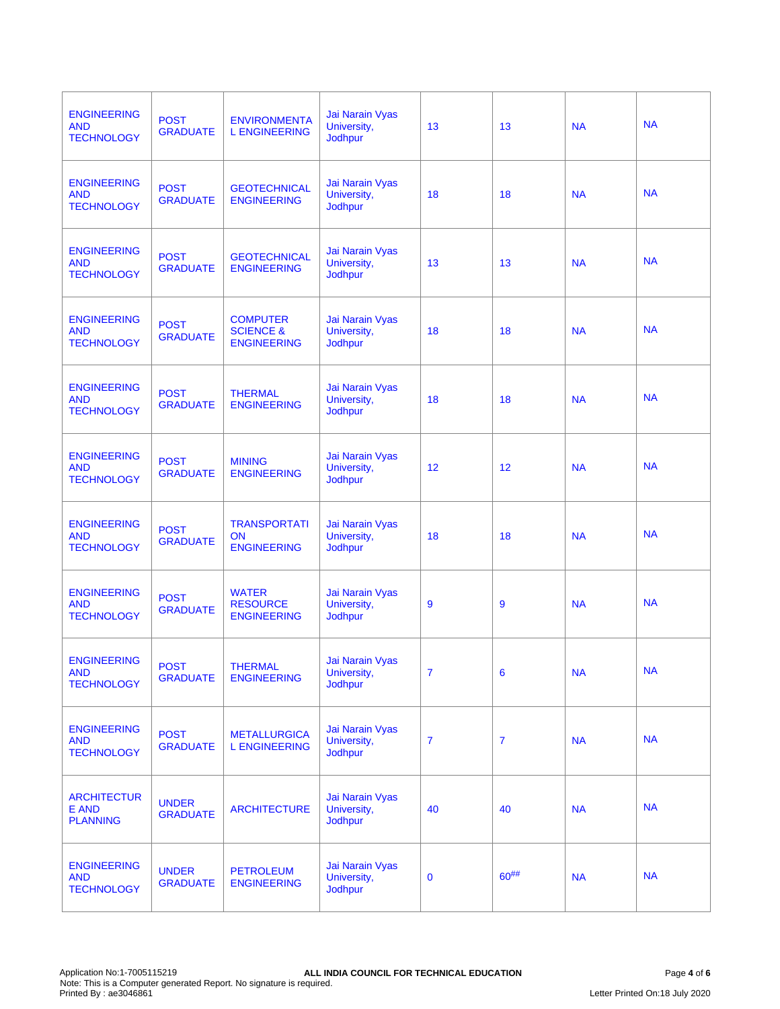| <b>ENGINEERING</b><br><b>AND</b><br><b>TECHNOLOGY</b> | <b>POST</b><br><b>GRADUATE</b>  | <b>ENVIRONMENTA</b><br><b>L ENGINEERING</b>                   | Jai Narain Vyas<br>University,<br><b>Jodhpur</b>        | 13             | 13             | <b>NA</b> | <b>NA</b> |
|-------------------------------------------------------|---------------------------------|---------------------------------------------------------------|---------------------------------------------------------|----------------|----------------|-----------|-----------|
| <b>ENGINEERING</b><br><b>AND</b><br><b>TECHNOLOGY</b> | <b>POST</b><br><b>GRADUATE</b>  | <b>GEOTECHNICAL</b><br><b>ENGINEERING</b>                     | Jai Narain Vyas<br>University,<br><b>Jodhpur</b>        | 18             | 18             | <b>NA</b> | <b>NA</b> |
| <b>ENGINEERING</b><br><b>AND</b><br><b>TECHNOLOGY</b> | <b>POST</b><br><b>GRADUATE</b>  | <b>GEOTECHNICAL</b><br><b>ENGINEERING</b>                     | Jai Narain Vyas<br>University,<br><b>Jodhpur</b>        | 13             | 13             | <b>NA</b> | <b>NA</b> |
| <b>ENGINEERING</b><br><b>AND</b><br><b>TECHNOLOGY</b> | <b>POST</b><br><b>GRADUATE</b>  | <b>COMPUTER</b><br><b>SCIENCE &amp;</b><br><b>ENGINEERING</b> | Jai Narain Vyas<br>University,<br>Jodhpur               | 18             | 18             | <b>NA</b> | <b>NA</b> |
| <b>ENGINEERING</b><br><b>AND</b><br><b>TECHNOLOGY</b> | <b>POST</b><br><b>GRADUATE</b>  | <b>THERMAL</b><br><b>ENGINEERING</b>                          | Jai Narain Vyas<br>University,<br><b>Jodhpur</b>        | 18             | 18             | <b>NA</b> | <b>NA</b> |
| <b>ENGINEERING</b><br><b>AND</b><br><b>TECHNOLOGY</b> | <b>POST</b><br><b>GRADUATE</b>  | <b>MINING</b><br><b>ENGINEERING</b>                           | <b>Jai Narain Vyas</b><br>University,<br>Jodhpur        | 12             | 12             | <b>NA</b> | <b>NA</b> |
| <b>ENGINEERING</b><br><b>AND</b><br><b>TECHNOLOGY</b> | <b>POST</b><br><b>GRADUATE</b>  | <b>TRANSPORTATI</b><br><b>ON</b><br><b>ENGINEERING</b>        | Jai Narain Vyas<br>University,<br>Jodhpur               | 18             | 18             | <b>NA</b> | <b>NA</b> |
| <b>ENGINEERING</b><br><b>AND</b><br><b>TECHNOLOGY</b> | <b>POST</b><br><b>GRADUATE</b>  | <b>WATER</b><br><b>RESOURCE</b><br><b>ENGINEERING</b>         | Jai Narain Vyas<br>University,<br>Jodhpur               | 9              | 9              | <b>NA</b> | <b>NA</b> |
| <b>ENGINEERING</b><br><b>AND</b><br><b>TECHNOLOGY</b> | <b>POST</b><br><b>GRADUATE</b>  | <b>THERMAL</b><br><b>ENGINEERING</b>                          | Jai Narain Vyas<br>University,<br><b>Jodhpur</b>        | $\overline{7}$ | 6              | <b>NA</b> | <b>NA</b> |
| <b>ENGINEERING</b><br><b>AND</b><br><b>TECHNOLOGY</b> | <b>POST</b><br><b>GRADUATE</b>  | <b>METALLURGICA</b><br><b>L ENGINEERING</b>                   | <b>Jai Narain Vyas</b><br>University,<br><b>Jodhpur</b> | $\overline{7}$ | $\overline{7}$ | <b>NA</b> | <b>NA</b> |
| <b>ARCHITECTUR</b><br>E AND<br><b>PLANNING</b>        | <b>UNDER</b><br><b>GRADUATE</b> | <b>ARCHITECTURE</b>                                           | Jai Narain Vyas<br>University,<br>Jodhpur               | 40             | 40             | <b>NA</b> | <b>NA</b> |
| <b>ENGINEERING</b><br><b>AND</b><br><b>TECHNOLOGY</b> | <b>UNDER</b><br><b>GRADUATE</b> | <b>PETROLEUM</b><br><b>ENGINEERING</b>                        | Jai Narain Vyas<br>University,<br>Jodhpur               | $\bf{0}$       | $60^{##}$      | <b>NA</b> | <b>NA</b> |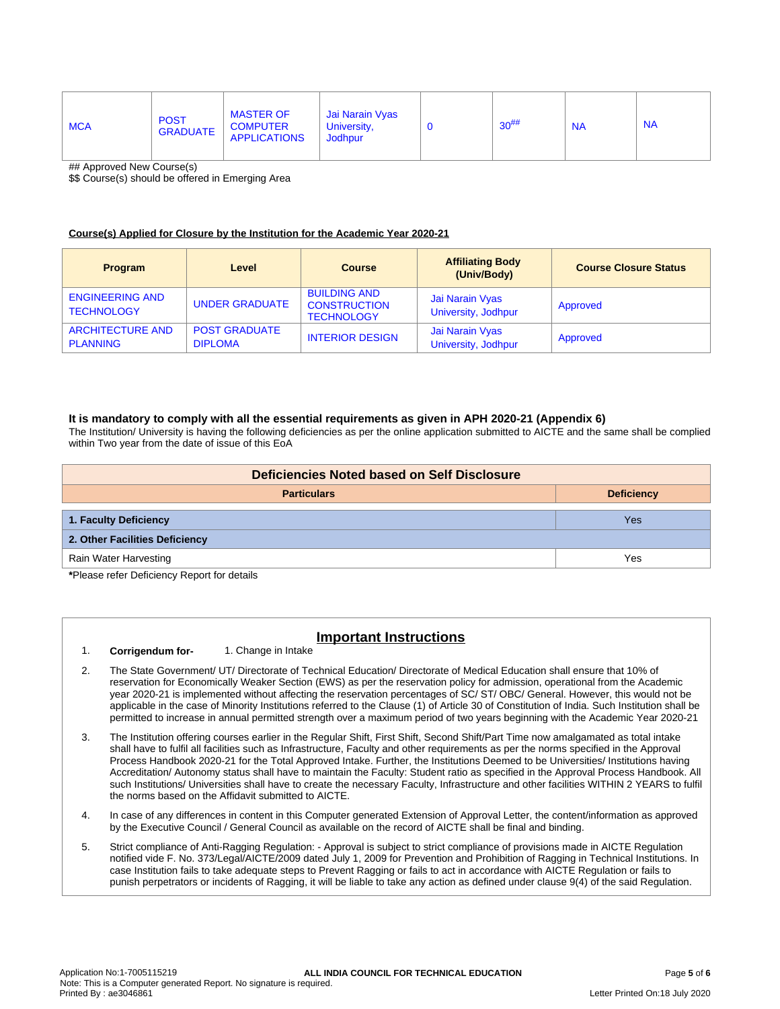| <b>MCA</b> | <b>POST</b><br><b>GRADUATE</b> | <b>MASTER OF</b><br><b>COMPUTER</b><br><b>APPLICATIONS</b> | Jai Narain Vyas<br>University,<br>Jodhpur |  | $30^{#}\%$ | <b>NA</b> | <b>NA</b> |
|------------|--------------------------------|------------------------------------------------------------|-------------------------------------------|--|------------|-----------|-----------|
|------------|--------------------------------|------------------------------------------------------------|-------------------------------------------|--|------------|-----------|-----------|

## Approved New Course(s)

\$\$ Course(s) should be offered in Emerging Area

#### **Course(s) Applied for Closure by the Institution for the Academic Year 2020-21**

| <b>Program</b>                              | Level                                  | <b>Course</b>                                                   | <b>Affiliating Body</b><br>(Univ/Body) | <b>Course Closure Status</b> |
|---------------------------------------------|----------------------------------------|-----------------------------------------------------------------|----------------------------------------|------------------------------|
| <b>ENGINEERING AND</b><br><b>TECHNOLOGY</b> | <b>UNDER GRADUATE</b>                  | <b>BUILDING AND</b><br><b>CONSTRUCTION</b><br><b>TECHNOLOGY</b> | Jai Narain Vyas<br>University, Jodhpur | Approved                     |
| <b>ARCHITECTURE AND</b><br><b>PLANNING</b>  | <b>POST GRADUATE</b><br><b>DIPLOMA</b> | <b>INTERIOR DESIGN</b>                                          | Jai Narain Vyas<br>University, Jodhpur | Approved                     |

#### **It is mandatory to comply with all the essential requirements as given in APH 2020-21 (Appendix 6)**

The Institution/ University is having the following deficiencies as per the online application submitted to AICTE and the same shall be complied within Two year from the date of issue of this EoA

| Deficiencies Noted based on Self Disclosure   |     |  |  |  |  |
|-----------------------------------------------|-----|--|--|--|--|
| <b>Particulars</b><br><b>Deficiency</b>       |     |  |  |  |  |
|                                               |     |  |  |  |  |
| 1. Faculty Deficiency                         | Yes |  |  |  |  |
| 2. Other Facilities Deficiency                |     |  |  |  |  |
| Rain Water Harvesting                         | Yes |  |  |  |  |
| *Dlagge usfau Definieu au Deu auf fau defaile |     |  |  |  |  |

**\***Please refer Deficiency Report for details

## **Important Instructions**

- 1. **Corrigendum for-** 1. Change in Intake
- 2. The State Government/ UT/ Directorate of Technical Education/ Directorate of Medical Education shall ensure that 10% of reservation for Economically Weaker Section (EWS) as per the reservation policy for admission, operational from the Academic year 2020-21 is implemented without affecting the reservation percentages of SC/ ST/ OBC/ General. However, this would not be applicable in the case of Minority Institutions referred to the Clause (1) of Article 30 of Constitution of India. Such Institution shall be permitted to increase in annual permitted strength over a maximum period of two years beginning with the Academic Year 2020-21
- 3. The Institution offering courses earlier in the Regular Shift, First Shift, Second Shift/Part Time now amalgamated as total intake shall have to fulfil all facilities such as Infrastructure, Faculty and other requirements as per the norms specified in the Approval Process Handbook 2020-21 for the Total Approved Intake. Further, the Institutions Deemed to be Universities/ Institutions having Accreditation/ Autonomy status shall have to maintain the Faculty: Student ratio as specified in the Approval Process Handbook. All such Institutions/ Universities shall have to create the necessary Faculty, Infrastructure and other facilities WITHIN 2 YEARS to fulfil the norms based on the Affidavit submitted to AICTE.
- 4. In case of any differences in content in this Computer generated Extension of Approval Letter, the content/information as approved by the Executive Council / General Council as available on the record of AICTE shall be final and binding.
- 5. Strict compliance of Anti-Ragging Regulation: Approval is subject to strict compliance of provisions made in AICTE Regulation notified vide F. No. 373/Legal/AICTE/2009 dated July 1, 2009 for Prevention and Prohibition of Ragging in Technical Institutions. In case Institution fails to take adequate steps to Prevent Ragging or fails to act in accordance with AICTE Regulation or fails to punish perpetrators or incidents of Ragging, it will be liable to take any action as defined under clause 9(4) of the said Regulation.